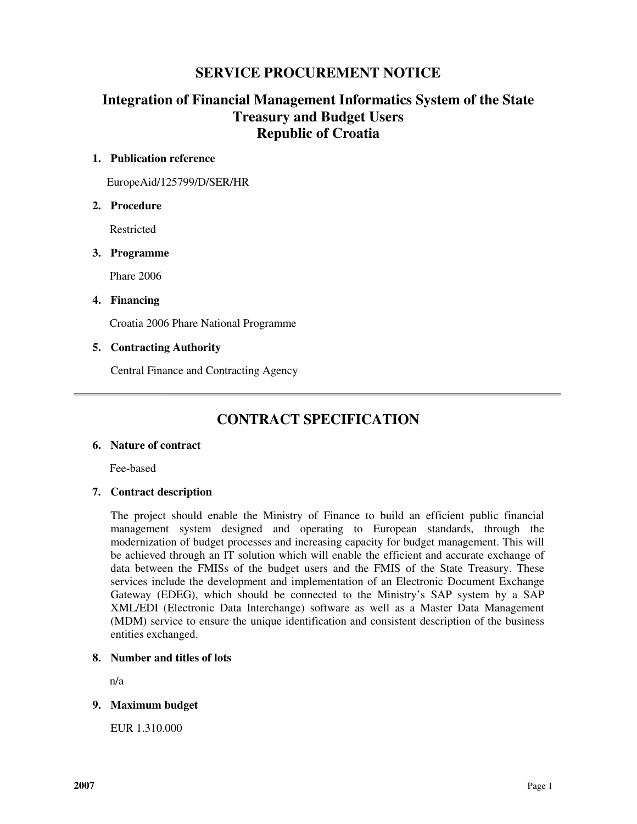# **SERVICE PROCUREMENT NOTICE**

# **Integration of Financial Management Informatics System of the State Treasury and Budget Users Republic of Croatia**

# **1. Publication reference**

EuropeAid/125799/D/SER/HR

# **2. Procedure**

Restricted

# **3. Programme**

Phare 2006

# **4. Financing**

Croatia 2006 Phare National Programme

# **5. Contracting Authority**

Central Finance and Contracting Agency

# **CONTRACT SPECIFICATION**

# **6. Nature of contract**

Fee-based

# **7. Contract description**

The project should enable the Ministry of Finance to build an efficient public financial management system designed and operating to European standards, through the modernization of budget processes and increasing capacity for budget management. This will be achieved through an IT solution which will enable the efficient and accurate exchange of data between the FMISs of the budget users and the FMIS of the State Treasury. These services include the development and implementation of an Electronic Document Exchange Gateway (EDEG), which should be connected to the Ministry's SAP system by a SAP XML/EDI (Electronic Data Interchange) software as well as a Master Data Management (MDM) service to ensure the unique identification and consistent description of the business entities exchanged.

# **8. Number and titles of lots**

n/a

# **9. Maximum budget**

EUR 1.310.000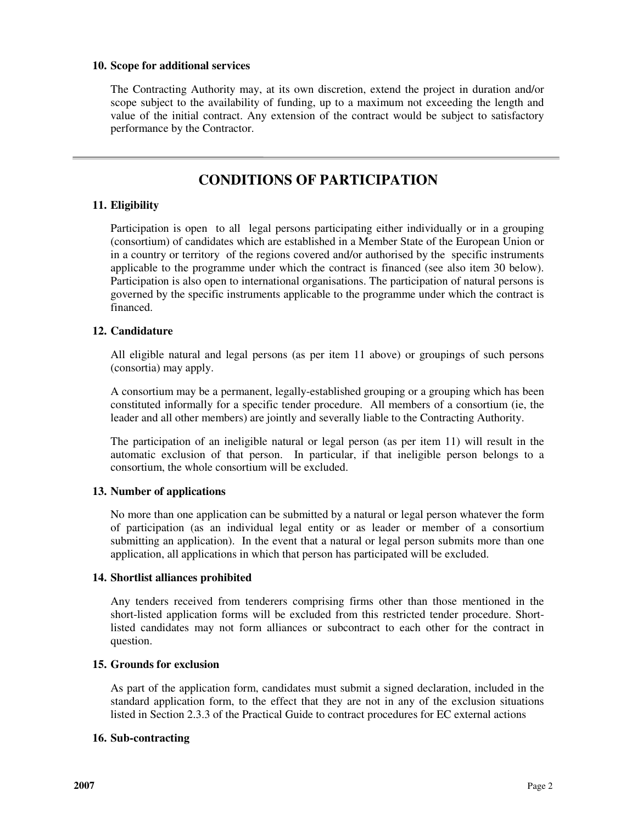### **10. Scope for additional services**

The Contracting Authority may, at its own discretion, extend the project in duration and/or scope subject to the availability of funding, up to a maximum not exceeding the length and value of the initial contract. Any extension of the contract would be subject to satisfactory performance by the Contractor.

# **CONDITIONS OF PARTICIPATION**

# **11. Eligibility**

Participation is open to all legal persons participating either individually or in a grouping (consortium) of candidates which are established in a Member State of the European Union or in a country or territory of the regions covered and/or authorised by the specific instruments applicable to the programme under which the contract is financed (see also item 30 below). Participation is also open to international organisations. The participation of natural persons is governed by the specific instruments applicable to the programme under which the contract is financed.

# **12. Candidature**

All eligible natural and legal persons (as per item 11 above) or groupings of such persons (consortia) may apply.

A consortium may be a permanent, legally-established grouping or a grouping which has been constituted informally for a specific tender procedure. All members of a consortium (ie, the leader and all other members) are jointly and severally liable to the Contracting Authority.

The participation of an ineligible natural or legal person (as per item 11) will result in the automatic exclusion of that person. In particular, if that ineligible person belongs to a consortium, the whole consortium will be excluded.

# **13. Number of applications**

No more than one application can be submitted by a natural or legal person whatever the form of participation (as an individual legal entity or as leader or member of a consortium submitting an application). In the event that a natural or legal person submits more than one application, all applications in which that person has participated will be excluded.

# **14. Shortlist alliances prohibited**

Any tenders received from tenderers comprising firms other than those mentioned in the short-listed application forms will be excluded from this restricted tender procedure. Shortlisted candidates may not form alliances or subcontract to each other for the contract in question.

# **15. Grounds for exclusion**

As part of the application form, candidates must submit a signed declaration, included in the standard application form, to the effect that they are not in any of the exclusion situations listed in Section 2.3.3 of the Practical Guide to contract procedures for EC external actions

# **16. Sub-contracting**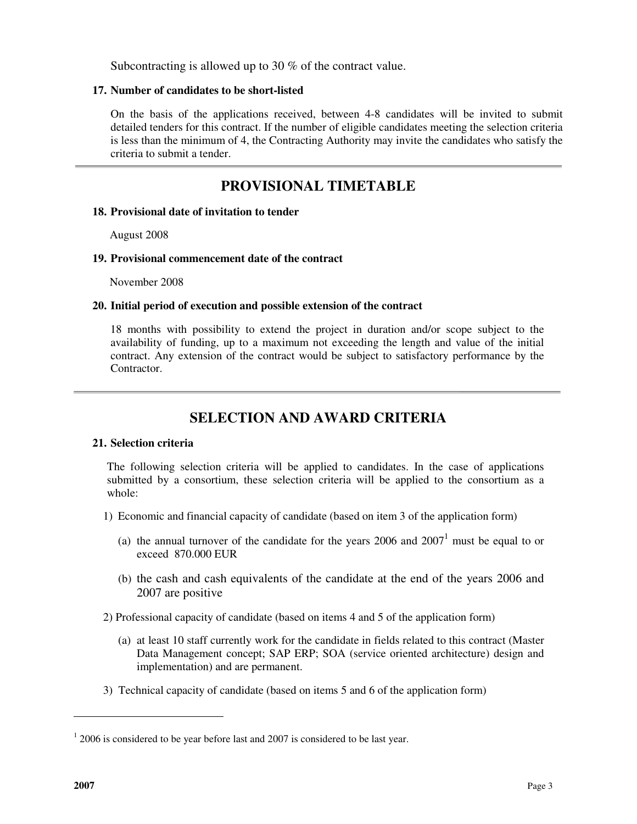Subcontracting is allowed up to 30 % of the contract value.

### **17. Number of candidates to be short-listed**

On the basis of the applications received, between 4-8 candidates will be invited to submit detailed tenders for this contract. If the number of eligible candidates meeting the selection criteria is less than the minimum of 4, the Contracting Authority may invite the candidates who satisfy the criteria to submit a tender.

# **PROVISIONAL TIMETABLE**

### **18. Provisional date of invitation to tender**

August 2008

### **19. Provisional commencement date of the contract**

November 2008

### **20. Initial period of execution and possible extension of the contract**

 18 months with possibility to extend the project in duration and/or scope subject to the availability of funding, up to a maximum not exceeding the length and value of the initial contract. Any extension of the contract would be subject to satisfactory performance by the **Contractor** 

# **SELECTION AND AWARD CRITERIA**

# **21. Selection criteria**

The following selection criteria will be applied to candidates. In the case of applications submitted by a consortium, these selection criteria will be applied to the consortium as a whole:

- 1) Economic and financial capacity of candidate (based on item 3 of the application form)
	- (a) the annual turnover of the candidate for the years  $2006$  and  $2007<sup>1</sup>$  must be equal to or exceed 870.000 EUR
	- (b) the cash and cash equivalents of the candidate at the end of the years 2006 and 2007 are positive

2) Professional capacity of candidate (based on items 4 and 5 of the application form)

- (a) at least 10 staff currently work for the candidate in fields related to this contract (Master Data Management concept; SAP ERP; SOA (service oriented architecture) design and implementation) and are permanent.
- 3) Technical capacity of candidate (based on items 5 and 6 of the application form)

 $\overline{a}$ 

 $12006$  is considered to be year before last and 2007 is considered to be last year.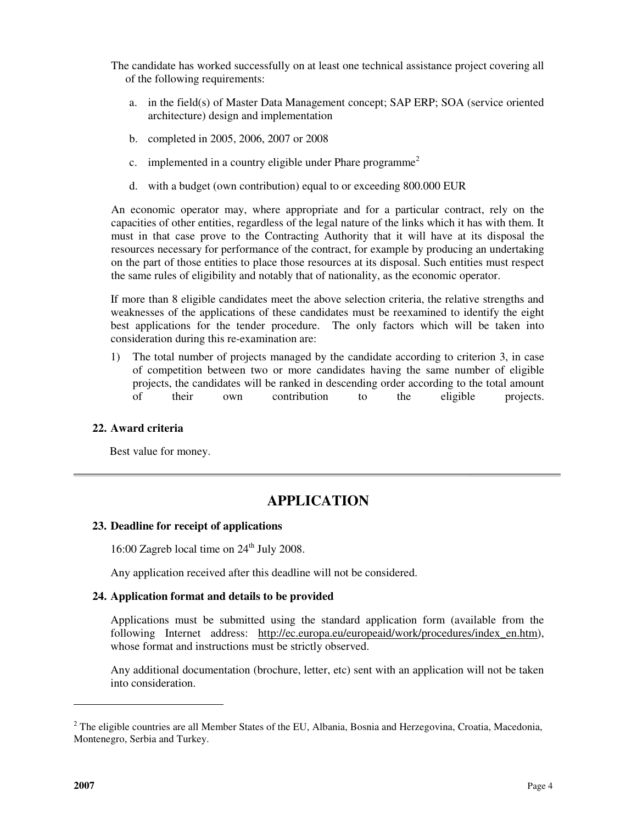The candidate has worked successfully on at least one technical assistance project covering all of the following requirements:

- a. in the field(s) of Master Data Management concept; SAP ERP; SOA (service oriented architecture) design and implementation
- b. completed in 2005, 2006, 2007 or 2008
- c. implemented in a country eligible under Phare programme<sup>2</sup>
- d. with a budget (own contribution) equal to or exceeding 800.000 EUR

An economic operator may, where appropriate and for a particular contract, rely on the capacities of other entities, regardless of the legal nature of the links which it has with them. It must in that case prove to the Contracting Authority that it will have at its disposal the resources necessary for performance of the contract, for example by producing an undertaking on the part of those entities to place those resources at its disposal. Such entities must respect the same rules of eligibility and notably that of nationality, as the economic operator.

If more than 8 eligible candidates meet the above selection criteria, the relative strengths and weaknesses of the applications of these candidates must be reexamined to identify the eight best applications for the tender procedure. The only factors which will be taken into consideration during this re-examination are:

1) The total number of projects managed by the candidate according to criterion 3, in case of competition between two or more candidates having the same number of eligible projects, the candidates will be ranked in descending order according to the total amount of their own contribution to the eligible projects.

#### **22. Award criteria**

Best value for money.

# **APPLICATION**

#### **23. Deadline for receipt of applications**

16:00 Zagreb local time on  $24<sup>th</sup>$  July 2008.

Any application received after this deadline will not be considered.

# **24. Application format and details to be provided**

Applications must be submitted using the standard application form (available from the following Internet address: http://ec.europa.eu/europeaid/work/procedures/index\_en.htm), whose format and instructions must be strictly observed.

Any additional documentation (brochure, letter, etc) sent with an application will not be taken into consideration.

 $\overline{a}$ 

 $2$  The eligible countries are all Member States of the EU, Albania, Bosnia and Herzegovina, Croatia, Macedonia, Montenegro, Serbia and Turkey.